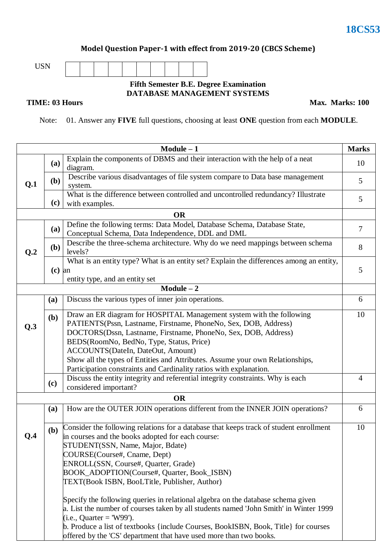**Max. Marks: 100**

#### **Model Question Paper-1 with effect from 2019-20 (CBCS Scheme)**



#### **Fifth Semester B.E. Degree Examination DATABASE MANAGEMENT SYSTEMS**

#### **TIME: 03 Hours**

Note: 01. Answer any **FIVE** full questions, choosing at least **ONE** question from each **MODULE**.

|                |                                                                    | $Module - 1$                                                                                                                                                                    | <b>Marks</b>   |  |  |  |  |  |
|----------------|--------------------------------------------------------------------|---------------------------------------------------------------------------------------------------------------------------------------------------------------------------------|----------------|--|--|--|--|--|
|                | (a)                                                                | Explain the components of DBMS and their interaction with the help of a neat<br>diagram.                                                                                        | 10             |  |  |  |  |  |
| Q.1            | ( <b>b</b> )                                                       | Describe various disadvantages of file system compare to Data base management<br>system.                                                                                        |                |  |  |  |  |  |
|                | (c)                                                                | What is the difference between controlled and uncontrolled redundancy? Illustrate<br>with examples.                                                                             |                |  |  |  |  |  |
|                |                                                                    | <b>OR</b>                                                                                                                                                                       |                |  |  |  |  |  |
|                | <b>(a)</b>                                                         | Define the following terms: Data Model, Database Schema, Database State,<br>Conceptual Schema, Data Independence, DDL and DML                                                   | $\overline{7}$ |  |  |  |  |  |
| Q <sub>2</sub> | ( <b>b</b> )                                                       | Describe the three-schema architecture. Why do we need mappings between schema<br>levels?                                                                                       | 8              |  |  |  |  |  |
|                | $(c)$ an                                                           | What is an entity type? What is an entity set? Explain the differences among an entity,<br>entity type, and an entity set                                                       | 5              |  |  |  |  |  |
|                |                                                                    | $Module - 2$                                                                                                                                                                    |                |  |  |  |  |  |
|                | (a)                                                                | Discuss the various types of inner join operations.                                                                                                                             | 6              |  |  |  |  |  |
|                | (b)                                                                | Draw an ER diagram for HOSPITAL Management system with the following                                                                                                            | 10             |  |  |  |  |  |
| Q.3            |                                                                    | PATIENTS(Pssn, Lastname, Firstname, PhoneNo, Sex, DOB, Address)                                                                                                                 |                |  |  |  |  |  |
|                |                                                                    | DOCTORS(Dssn, Lastname, Firstname, PhoneNo, Sex, DOB, Address)                                                                                                                  |                |  |  |  |  |  |
|                |                                                                    | BEDS(RoomNo, BedNo, Type, Status, Price)<br>ACCOUNTS(DateIn, DateOut, Amount)                                                                                                   |                |  |  |  |  |  |
|                |                                                                    | Show all the types of Entities and Attributes. Assume your own Relationships,                                                                                                   |                |  |  |  |  |  |
|                | Participation constraints and Cardinality ratios with explanation. |                                                                                                                                                                                 |                |  |  |  |  |  |
|                | (c)                                                                | Discuss the entity integrity and referential integrity constraints. Why is each<br>considered important?                                                                        | $\overline{4}$ |  |  |  |  |  |
|                |                                                                    | <b>OR</b>                                                                                                                                                                       |                |  |  |  |  |  |
|                | (a)                                                                | How are the OUTER JOIN operations different from the INNER JOIN operations?                                                                                                     | 6              |  |  |  |  |  |
| Q.4            | (b)                                                                | Consider the following relations for a database that keeps track of student enrollment<br>in courses and the books adopted for each course:<br>STUDENT(SSN, Name, Major, Bdate) | 10             |  |  |  |  |  |
|                |                                                                    | COURSE(Course#, Cname, Dept)                                                                                                                                                    |                |  |  |  |  |  |
|                |                                                                    | ENROLL(SSN, Course#, Quarter, Grade)                                                                                                                                            |                |  |  |  |  |  |
|                |                                                                    | BOOK_ADOPTION(Course#, Quarter, Book_ISBN)                                                                                                                                      |                |  |  |  |  |  |
|                |                                                                    | TEXT(Book ISBN, BooLTitle, Publisher, Author)                                                                                                                                   |                |  |  |  |  |  |
|                |                                                                    | Specify the following queries in relational algebra on the database schema given                                                                                                |                |  |  |  |  |  |
|                |                                                                    | a. List the number of courses taken by all students named 'John Smith' in Winter 1999                                                                                           |                |  |  |  |  |  |
|                |                                                                    | $(i.e.,$ Quarter = 'W99').                                                                                                                                                      |                |  |  |  |  |  |
|                |                                                                    | b. Produce a list of textbooks {include Courses, BookISBN, Book, Title} for courses                                                                                             |                |  |  |  |  |  |
|                |                                                                    | offered by the 'CS' department that have used more than two books.                                                                                                              |                |  |  |  |  |  |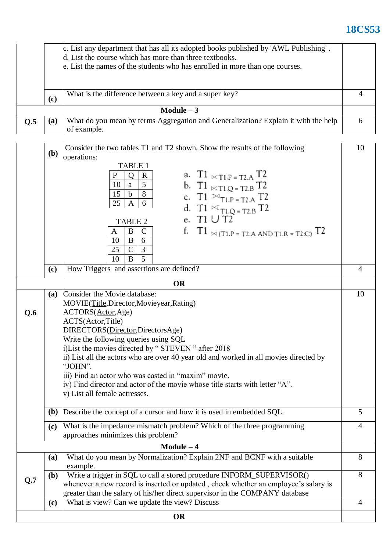# **18CS53**

| c. List any department that has all its adopted books published by 'AWL Publishing'. |                                                                              |                                                                                    |   |  |  |  |  |
|--------------------------------------------------------------------------------------|------------------------------------------------------------------------------|------------------------------------------------------------------------------------|---|--|--|--|--|
| d. List the course which has more than three textbooks.                              |                                                                              |                                                                                    |   |  |  |  |  |
|                                                                                      | e. List the names of the students who has enrolled in more than one courses. |                                                                                    |   |  |  |  |  |
|                                                                                      |                                                                              |                                                                                    |   |  |  |  |  |
|                                                                                      |                                                                              |                                                                                    |   |  |  |  |  |
|                                                                                      |                                                                              | What is the difference between a key and a super key?                              |   |  |  |  |  |
|                                                                                      | (c)                                                                          |                                                                                    |   |  |  |  |  |
| Module $-3$                                                                          |                                                                              |                                                                                    |   |  |  |  |  |
| Q <sub>5</sub>                                                                       | (a)                                                                          | What do you mean by terms Aggregation and Generalization? Explain it with the help | h |  |  |  |  |
|                                                                                      |                                                                              | of example.                                                                        |   |  |  |  |  |

| Consider the two tables T1 and T2 shown. Show the results of the following<br>10 |                                                                                                                                                                                                                                                                                            |                                                                                                                                                                                                                                              |                |  |  |  |  |  |  |
|----------------------------------------------------------------------------------|--------------------------------------------------------------------------------------------------------------------------------------------------------------------------------------------------------------------------------------------------------------------------------------------|----------------------------------------------------------------------------------------------------------------------------------------------------------------------------------------------------------------------------------------------|----------------|--|--|--|--|--|--|
|                                                                                  | (b)<br>operations:                                                                                                                                                                                                                                                                         |                                                                                                                                                                                                                                              |                |  |  |  |  |  |  |
|                                                                                  | TABLE 1<br>a. T1 $\times$ T1.P = T2.A T2<br>$\mathbf{P}$<br>$\mathbf R$<br>Q<br>5 <sup>5</sup><br>b. T1 $\mathcal{L}_{T1,Q = T2,B} T2$<br>10<br>a<br>8<br>15<br>$\mathbf b$<br>c. T1 $\bowtie$ <sub>T1.P = T2.A</sub> T2<br>25<br>$\mathbf{A}$<br>6<br>d. T1 $\mathbb{K}_{T1,Q = T2,B} T2$ |                                                                                                                                                                                                                                              |                |  |  |  |  |  |  |
|                                                                                  |                                                                                                                                                                                                                                                                                            | e. T $1 \cup T2$<br><b>TABLE 2</b><br>f. T1 $\times$ (T1.P = T2.A AND T1.R = T2.C) T2<br>B<br>$\mathcal{C}$<br>A<br>10<br>B<br>6                                                                                                             |                |  |  |  |  |  |  |
|                                                                                  |                                                                                                                                                                                                                                                                                            | $\mathbf C$<br>25<br>3<br>5<br>B<br>10                                                                                                                                                                                                       |                |  |  |  |  |  |  |
|                                                                                  | (c)                                                                                                                                                                                                                                                                                        | How Triggers and assertions are defined?                                                                                                                                                                                                     | $\overline{4}$ |  |  |  |  |  |  |
|                                                                                  |                                                                                                                                                                                                                                                                                            | <b>OR</b>                                                                                                                                                                                                                                    |                |  |  |  |  |  |  |
|                                                                                  | <b>(a)</b>                                                                                                                                                                                                                                                                                 | Consider the Movie database:<br>MOVIE(Title, Director, Movieyear, Rating)                                                                                                                                                                    | 10             |  |  |  |  |  |  |
| Q.6                                                                              | ACTORS(Actor, Age)                                                                                                                                                                                                                                                                         |                                                                                                                                                                                                                                              |                |  |  |  |  |  |  |
|                                                                                  |                                                                                                                                                                                                                                                                                            | ACTS(Actor,Title)                                                                                                                                                                                                                            |                |  |  |  |  |  |  |
|                                                                                  |                                                                                                                                                                                                                                                                                            | DIRECTORS(Director, DirectorsAge)<br>Write the following queries using SQL                                                                                                                                                                   |                |  |  |  |  |  |  |
|                                                                                  |                                                                                                                                                                                                                                                                                            | i)List the movies directed by "STEVEN" after 2018                                                                                                                                                                                            |                |  |  |  |  |  |  |
|                                                                                  |                                                                                                                                                                                                                                                                                            | ii) List all the actors who are over 40 year old and worked in all movies directed by<br>"JOHN".                                                                                                                                             |                |  |  |  |  |  |  |
|                                                                                  |                                                                                                                                                                                                                                                                                            | iii) Find an actor who was casted in "maxim" movie.                                                                                                                                                                                          |                |  |  |  |  |  |  |
|                                                                                  | iv) Find director and actor of the movie whose title starts with letter "A".<br>v) List all female actresses.                                                                                                                                                                              |                                                                                                                                                                                                                                              |                |  |  |  |  |  |  |
|                                                                                  | ( <b>b</b> )                                                                                                                                                                                                                                                                               | Describe the concept of a cursor and how it is used in embedded SQL.                                                                                                                                                                         | 5              |  |  |  |  |  |  |
|                                                                                  |                                                                                                                                                                                                                                                                                            |                                                                                                                                                                                                                                              | $\overline{4}$ |  |  |  |  |  |  |
|                                                                                  | What is the impedance mismatch problem? Which of the three programming<br>(c)<br>approaches minimizes this problem?                                                                                                                                                                        |                                                                                                                                                                                                                                              |                |  |  |  |  |  |  |
| $Module - 4$                                                                     |                                                                                                                                                                                                                                                                                            |                                                                                                                                                                                                                                              |                |  |  |  |  |  |  |
|                                                                                  | What do you mean by Normalization? Explain 2NF and BCNF with a suitable<br>example.                                                                                                                                                                                                        | 8<br>8                                                                                                                                                                                                                                       |                |  |  |  |  |  |  |
| Q.7                                                                              | ( <b>b</b> )                                                                                                                                                                                                                                                                               | Write a trigger in SQL to call a stored procedure INFORM_SUPERVISOR()<br>whenever a new record is inserted or updated, check whether an employee's salary is<br>greater than the salary of his/her direct supervisor in the COMPANY database |                |  |  |  |  |  |  |
|                                                                                  | (c)                                                                                                                                                                                                                                                                                        | What is view? Can we update the view? Discuss                                                                                                                                                                                                | $\overline{4}$ |  |  |  |  |  |  |
| OR                                                                               |                                                                                                                                                                                                                                                                                            |                                                                                                                                                                                                                                              |                |  |  |  |  |  |  |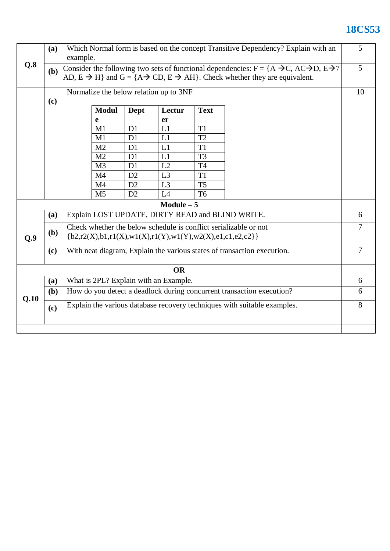## **18CS53**

|      | (a)                                                                                                                                                                                                                    | Which Normal form is based on the concept Transitive Dependency? Explain with an<br>example.                                             |  |                |                |                |                                                  |                |
|------|------------------------------------------------------------------------------------------------------------------------------------------------------------------------------------------------------------------------|------------------------------------------------------------------------------------------------------------------------------------------|--|----------------|----------------|----------------|--------------------------------------------------|----------------|
| Q.8  | Consider the following two sets of functional dependencies: $F = \{A \rightarrow C, AC \rightarrow D, E \rightarrow T\}$<br>(b)<br>AD, $E \to H$ and $G = \{A \to CD, E \to AH\}$ . Check whether they are equivalent. |                                                                                                                                          |  |                |                |                | 5                                                |                |
|      |                                                                                                                                                                                                                        | Normalize the below relation up to 3NF                                                                                                   |  |                |                |                |                                                  | 10             |
|      | (c)<br><b>Modul</b><br>Dept<br>Lectur<br><b>Text</b>                                                                                                                                                                   |                                                                                                                                          |  |                |                |                |                                                  |                |
|      |                                                                                                                                                                                                                        | e                                                                                                                                        |  |                | er             |                |                                                  |                |
|      |                                                                                                                                                                                                                        | M1                                                                                                                                       |  | D1             | L1             | T <sub>1</sub> |                                                  |                |
|      |                                                                                                                                                                                                                        | M1                                                                                                                                       |  | D1             | L1             | T <sub>2</sub> |                                                  |                |
|      |                                                                                                                                                                                                                        | M2                                                                                                                                       |  | D1             | L1             | T <sub>1</sub> |                                                  |                |
|      |                                                                                                                                                                                                                        | M <sub>2</sub>                                                                                                                           |  | D1             | L1             | T <sub>3</sub> |                                                  |                |
|      |                                                                                                                                                                                                                        | M <sub>3</sub>                                                                                                                           |  | D1             | L2             | <b>T4</b>      |                                                  |                |
|      |                                                                                                                                                                                                                        | M <sub>4</sub>                                                                                                                           |  | D2             | L <sub>3</sub> | T <sub>1</sub> |                                                  |                |
|      |                                                                                                                                                                                                                        | M <sub>4</sub>                                                                                                                           |  | D2             | L <sub>3</sub> | T <sub>5</sub> |                                                  |                |
|      |                                                                                                                                                                                                                        | M <sub>5</sub>                                                                                                                           |  | D <sub>2</sub> | L4             | T <sub>6</sub> |                                                  |                |
|      |                                                                                                                                                                                                                        |                                                                                                                                          |  |                | $Module - 5$   |                |                                                  |                |
|      | <b>(a)</b>                                                                                                                                                                                                             |                                                                                                                                          |  |                |                |                | Explain LOST UPDATE, DIRTY READ and BLIND WRITE. | 6              |
| Q.9  | (b)                                                                                                                                                                                                                    | Check whether the below schedule is conflict serializable or not<br>${b2, r2(X), b1, r1(X), w1(X), r1(Y), w1(Y), w2(X), e1, c1, e2, c2}$ |  |                |                |                |                                                  | $\overline{7}$ |
|      | (c)                                                                                                                                                                                                                    | With neat diagram, Explain the various states of transaction execution.                                                                  |  |                |                |                |                                                  | $\overline{7}$ |
|      |                                                                                                                                                                                                                        |                                                                                                                                          |  |                | <b>OR</b>      |                |                                                  |                |
|      | <b>(a)</b>                                                                                                                                                                                                             | What is 2PL? Explain with an Example.                                                                                                    |  |                |                |                |                                                  | 6              |
| Q.10 | (b)                                                                                                                                                                                                                    | How do you detect a deadlock during concurrent transaction execution?                                                                    |  |                |                |                |                                                  |                |
|      | (c)                                                                                                                                                                                                                    | Explain the various database recovery techniques with suitable examples.                                                                 |  |                |                |                |                                                  | 8              |
|      |                                                                                                                                                                                                                        |                                                                                                                                          |  |                |                |                |                                                  |                |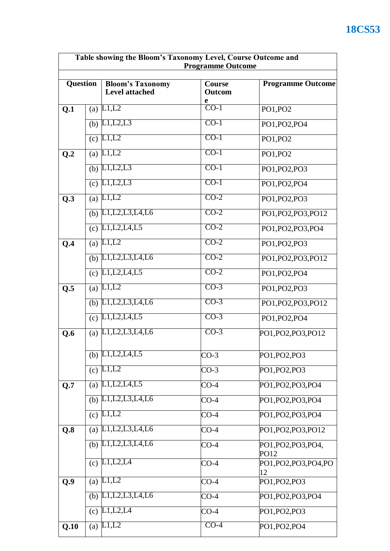| Table showing the Bloom's Taxonomy Level, Course Outcome and<br><b>Programme Outcome</b> |     |                                                                                    |                         |                             |  |
|------------------------------------------------------------------------------------------|-----|------------------------------------------------------------------------------------|-------------------------|-----------------------------|--|
| <b>Question</b>                                                                          |     | <b>Bloom's Taxonomy</b><br><b>Level attached</b>                                   | Course<br><b>Outcom</b> | <b>Programme Outcome</b>    |  |
| Q.1                                                                                      | (a) | L1,L2                                                                              | e<br>$CO-1$             | PO1, PO2                    |  |
|                                                                                          |     | (b) $\overline{L1,L2,L3}$                                                          | $CO-1$                  | PO1, PO2, PO4               |  |
|                                                                                          |     | $\overline{(c) L1,L2}$                                                             | $CO-1$                  | PO1, PO2                    |  |
| Q.2                                                                                      |     | (a) $L1, L2$                                                                       | $CO-1$                  | PO1, PO2                    |  |
|                                                                                          |     | (b) $L1, L2, L3$                                                                   | $CO-1$                  | PO1, PO2, PO3               |  |
|                                                                                          |     | (c) $L1, L2, L3$                                                                   | $CO-1$                  | PO1, PO2, PO4               |  |
| Q.3                                                                                      |     | (a) $\overline{L1,L2}$                                                             | $CO-2$                  | PO1, PO2, PO3               |  |
|                                                                                          | (b) | L1, L2, L3, L4, L6                                                                 | $CO-2$                  | PO1, PO2, PO3, PO12         |  |
|                                                                                          |     | $\overline{(c)}$ L <sub>1</sub> , L <sub>2</sub> , L <sub>4</sub> , L <sub>5</sub> | $CO-2$                  | PO1, PO2, PO3, PO4          |  |
| Q.4                                                                                      | (a) | L1,L2                                                                              | $CO-2$                  | PO1, PO2, PO3               |  |
|                                                                                          | (b) | L1, L2, L3, L4, L6                                                                 | $CO-2$                  | PO1, PO2, PO3, PO12         |  |
|                                                                                          | (c) | L1, L2, L4, L5                                                                     | $CO-2$                  | PO1, PO2, PO4               |  |
| Q.5                                                                                      | (a) | L1,L2                                                                              | $CO-3$                  | PO1, PO2, PO3               |  |
|                                                                                          |     | (b) $L1, L2, L3, L4, L6$                                                           | $CO-3$                  | PO1, PO2, PO3, PO12         |  |
|                                                                                          |     | (c) $L1, L2, L4, L5$                                                               | $CO-3$                  | PO1, PO2, PO4               |  |
| Q.6                                                                                      | (a) | L1, L2, L3, L4, L6                                                                 | $CO-3$                  | PO1, PO2, PO3, PO12         |  |
|                                                                                          | (b) | L1, L2, L4, L5                                                                     | $CO-3$                  | PO1, PO2, PO3               |  |
|                                                                                          | (c) | L1,L2                                                                              | $CO-3$                  | PO1, PO2, PO3               |  |
| Q.7                                                                                      | (a) | L1, L2, L4, L5                                                                     | $CO-4$                  | PO1, PO2, PO3, PO4          |  |
|                                                                                          | (b) | L1, L2, L3, L4, L6                                                                 | $CO-4$                  | PO1, PO2, PO3, PO4          |  |
|                                                                                          | (c) | L1,L2                                                                              | $CO-4$                  | PO1, PO2, PO3, PO4          |  |
| $Q.\overline{8}$                                                                         | (a) | L1, L2, L3, L4, L6                                                                 | $CO-4$                  | PO1, PO2, PO3, PO12         |  |
|                                                                                          | (b) | L1, L2, L3, L4, L6                                                                 | $CO-4$                  | PO1, PO2, PO3, PO4,<br>PO12 |  |
|                                                                                          | (c) | L1,L2,L4                                                                           | $CO-4$                  | PO1, PO2, PO3, PO4, PO      |  |
| Q.9                                                                                      | (a) | L1,L2                                                                              | $CO-4$                  | 12<br>PO1, PO2, PO3         |  |
|                                                                                          | (b) | L1, L2, L3, L4, L6                                                                 | $CO-4$                  | PO1, PO2, PO3, PO4          |  |
|                                                                                          | (c) | L1,L2,L4                                                                           | $CO-4$                  | PO1, PO2, PO3               |  |
| Q.10                                                                                     |     | $\overline{(a) L1, L2}$                                                            | $CO-4$                  | PO1, PO2, PO4               |  |